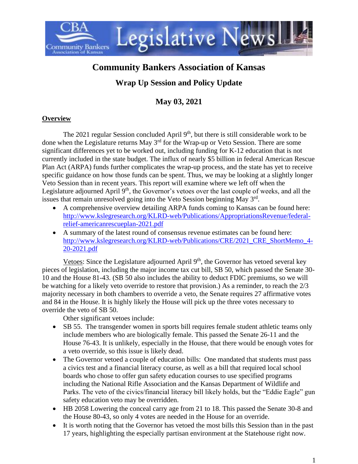

# **Community Bankers Association of Kansas**

## **Wrap Up Session and Policy Update**

### **May 03, 2021**

#### **Overview**

The 2021 regular Session concluded April  $9<sup>th</sup>$ , but there is still considerable work to be done when the Legislature returns May 3rd for the Wrap-up or Veto Session. There are some significant differences yet to be worked out, including funding for K-12 education that is not currently included in the state budget. The influx of nearly \$5 billion in federal American Rescue Plan Act (ARPA) funds further complicates the wrap-up process, and the state has yet to receive specific guidance on how those funds can be spent. Thus, we may be looking at a slightly longer Veto Session than in recent years. This report will examine where we left off when the Legislature adjourned April 9<sup>th</sup>, the Governor's vetoes over the last couple of weeks, and all the issues that remain unresolved going into the Veto Session beginning May  $3<sup>rd</sup>$ .

- A comprehensive overview detailing ARPA funds coming to Kansas can be found here: [http://www.kslegresearch.org/KLRD-web/Publications/AppropriationsRevenue/federal](http://www.kslegresearch.org/KLRD-web/Publications/AppropriationsRevenue/federal-relief-americanrescueplan-2021.pdf)[relief-americanrescueplan-2021.pdf](http://www.kslegresearch.org/KLRD-web/Publications/AppropriationsRevenue/federal-relief-americanrescueplan-2021.pdf)
- A summary of the latest round of consensus revenue estimates can be found here: [http://www.kslegresearch.org/KLRD-web/Publications/CRE/2021\\_CRE\\_ShortMemo\\_4-](http://www.kslegresearch.org/KLRD-web/Publications/CRE/2021_CRE_ShortMemo_4-20-2021.pdf) [20-2021.pdf](http://www.kslegresearch.org/KLRD-web/Publications/CRE/2021_CRE_ShortMemo_4-20-2021.pdf)

Vetoes: Since the Legislature adjourned April 9<sup>th</sup>, the Governor has vetoed several key pieces of legislation, including the major income tax cut bill, SB 50, which passed the Senate 30- 10 and the House 81-43. (SB 50 also includes the ability to deduct FDIC premiums, so we will be watching for a likely veto override to restore that provision.) As a reminder, to reach the 2/3 majority necessary in both chambers to override a veto, the Senate requires 27 affirmative votes and 84 in the House. It is highly likely the House will pick up the three votes necessary to override the veto of SB 50.

Other significant vetoes include:

- SB 55. The transgender women in sports bill requires female student athletic teams only include members who are biologically female. This passed the Senate 26-11 and the House 76-43. It is unlikely, especially in the House, that there would be enough votes for a veto override, so this issue is likely dead.
- The Governor vetoed a couple of education bills: One mandated that students must pass a civics test and a financial literacy course, as well as a bill that required local school boards who chose to offer gun safety education courses to use specified programs including the National Rifle Association and the Kansas Department of Wildlife and Parks. The veto of the civics/financial literacy bill likely holds, but the "Eddie Eagle" gun safety education veto may be overridden.
- HB 2058 Lowering the conceal carry age from 21 to 18. This passed the Senate 30-8 and the House 80-43, so only 4 votes are needed in the House for an override.
- It is worth noting that the Governor has vetoed the most bills this Session than in the past 17 years, highlighting the especially partisan environment at the Statehouse right now.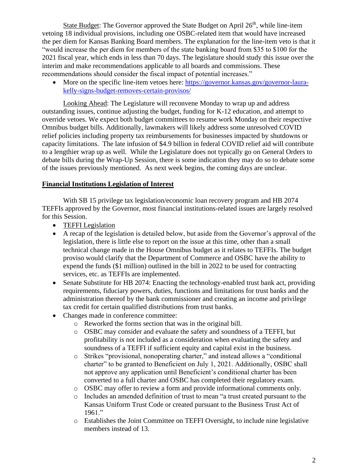State Budget: The Governor approved the State Budget on April 26<sup>th</sup>, while line-item vetoing 18 individual provisions, including one OSBC-related item that would have increased the per diem for Kansas Banking Board members. The explanation for the line-item veto is that it "would increase the per diem for members of the state banking board from \$35 to \$100 for the 2021 fiscal year, which ends in less than 70 days. The legislature should study this issue over the interim and make recommendations applicable to all boards and commissions. These recommendations should consider the fiscal impact of potential increases."

• More on the specific line-item vetoes here: [https://governor.kansas.gov/governor-laura](https://governor.kansas.gov/governor-laura-kelly-signs-budget-removes-certain-provisos/)[kelly-signs-budget-removes-certain-provisos/](https://governor.kansas.gov/governor-laura-kelly-signs-budget-removes-certain-provisos/)

Looking Ahead: The Legislature will reconvene Monday to wrap up and address outstanding issues, continue adjusting the budget, funding for K-12 education, and attempt to override vetoes. We expect both budget committees to resume work Monday on their respective Omnibus budget bills. Additionally, lawmakers will likely address some unresolved COVID relief policies including property tax reimbursements for businesses impacted by shutdowns or capacity limitations. The late infusion of \$4.9 billion in federal COVID relief aid will contribute to a lengthier wrap up as well. While the Legislature does not typically go on General Orders to debate bills during the Wrap-Up Session, there is some indication they may do so to debate some of the issues previously mentioned. As next week begins, the coming days are unclear.

#### **Financial Institutions Legislation of Interest**

With SB 15 privilege tax legislation/economic loan recovery program and HB 2074 TEFFIs approved by the Governor, most financial institutions-related issues are largely resolved for this Session.

- TEFFI Legislation
- A recap of the legislation is detailed below, but aside from the Governor's approval of the legislation, there is little else to report on the issue at this time, other than a small technical change made in the House Omnibus budget as it relates to TEFFIs. The budget proviso would clarify that the Department of Commerce and OSBC have the ability to expend the funds (\$1 million) outlined in the bill in 2022 to be used for contracting services, etc. as TEFFIs are implemented.
- Senate Substitute for HB 2074: Enacting the technology-enabled trust bank act, providing requirements, fiduciary powers, duties, functions and limitations for trust banks and the administration thereof by the bank commissioner and creating an income and privilege tax credit for certain qualified distributions from trust banks.
- Changes made in conference committee:
	- o Reworked the forms section that was in the original bill.
	- o OSBC may consider and evaluate the safety and soundness of a TEFFI, but profitability is not included as a consideration when evaluating the safety and soundness of a TEFFI if sufficient equity and capital exist in the business.
	- o Strikes "provisional, nonoperating charter," and instead allows a "conditional charter" to be granted to Beneficient on July 1, 2021. Additionally, OSBC shall not approve any application until Beneficient's conditional charter has been converted to a full charter and OSBC has completed their regulatory exam.
	- o OSBC may offer to review a form and provide informational comments only.
	- o Includes an amended definition of trust to mean "a trust created pursuant to the Kansas Uniform Trust Code or created pursuant to the Business Trust Act of 1961."
	- o Establishes the Joint Committee on TEFFI Oversight, to include nine legislative members instead of 13.